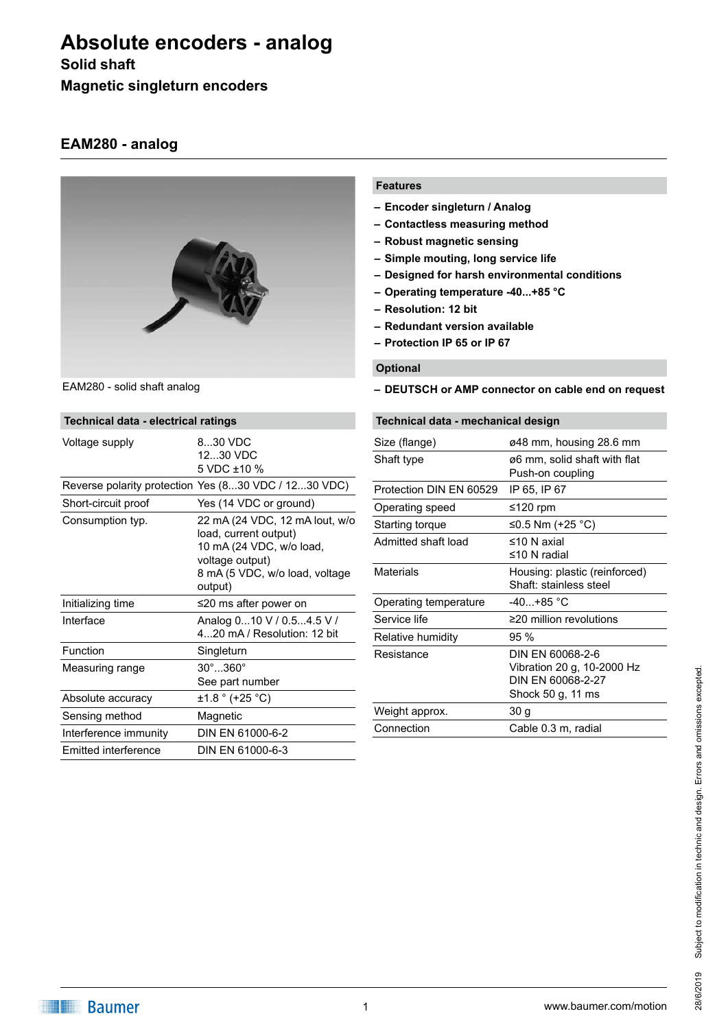# **Absolute encoders - analog**

### **Solid shaft**

**Magnetic singleturn encoders**

### **EAM280 - analog**



EAM280 - solid shaft analog

| Technical data - electrical ratings |                                                                                                                                                     |  |  |
|-------------------------------------|-----------------------------------------------------------------------------------------------------------------------------------------------------|--|--|
| Voltage supply                      | 830 VDC<br>1230 VDC<br>5 VDC ±10 %                                                                                                                  |  |  |
|                                     | Reverse polarity protection Yes (830 VDC / 1230 VDC)                                                                                                |  |  |
| Short-circuit proof                 | Yes (14 VDC or ground)                                                                                                                              |  |  |
| Consumption typ.                    | 22 mA (24 VDC, 12 mA lout, w/o<br>load, current output)<br>10 mA (24 VDC, w/o load,<br>voltage output)<br>8 mA (5 VDC, w/o load, voltage<br>output) |  |  |
| Initializing time                   | ≤20 ms after power on                                                                                                                               |  |  |
| Interface                           | Analog 010 V / 0.54.5 V /<br>420 mA / Resolution: 12 bit                                                                                            |  |  |
| Function                            | Singleturn                                                                                                                                          |  |  |
| Measuring range                     | $30^\circ$ $360^\circ$<br>See part number                                                                                                           |  |  |
| Absolute accuracy                   | $\pm 1.8$ $\degree$ (+25 $\degree$ C)                                                                                                               |  |  |
| Sensing method                      | Magnetic                                                                                                                                            |  |  |
| Interference immunity               | DIN EN 61000-6-2                                                                                                                                    |  |  |
| Emitted interference                | DIN EN 61000-6-3                                                                                                                                    |  |  |

#### **Features**

- **– Encoder singleturn / Analog**
- **– Contactless measuring method**
- **– Robust magnetic sensing**
- **– Simple mouting, long service life**
- **– Designed for harsh environmental conditions**
- **– Operating temperature -40...+85 °C**
- **– Resolution: 12 bit**
- **– Redundant version available**
- **– Protection IP 65 or IP 67**

### **Optional**

**– DEUTSCH or AMP connector on cable end on request**

| Technical data - mechanical design |                                                                                          |  |
|------------------------------------|------------------------------------------------------------------------------------------|--|
| Size (flange)                      | ø48 mm, housing 28.6 mm                                                                  |  |
| Shaft type                         | ø6 mm, solid shaft with flat<br>Push-on coupling                                         |  |
| Protection DIN EN 60529            | IP 65, IP 67                                                                             |  |
| Operating speed                    | ≤120 rpm                                                                                 |  |
| Starting torque                    | ≤0.5 Nm (+25 °C)                                                                         |  |
| Admitted shaft load                | ≤10 N axial<br>$\leq$ 10 N radial                                                        |  |
| Materials                          | Housing: plastic (reinforced)<br>Shaft: stainless steel                                  |  |
| Operating temperature              | $-40 + 85$ °C                                                                            |  |
| Service life                       | $\geq$ 20 million revolutions                                                            |  |
| Relative humidity                  | $95\%$                                                                                   |  |
| Resistance                         | DIN EN 60068-2-6<br>Vibration 20 g, 10-2000 Hz<br>DIN EN 60068-2-27<br>Shock 50 g, 11 ms |  |
| Weight approx.                     | 30 <sub>g</sub>                                                                          |  |
| Connection                         | Cable 0.3 m, radial                                                                      |  |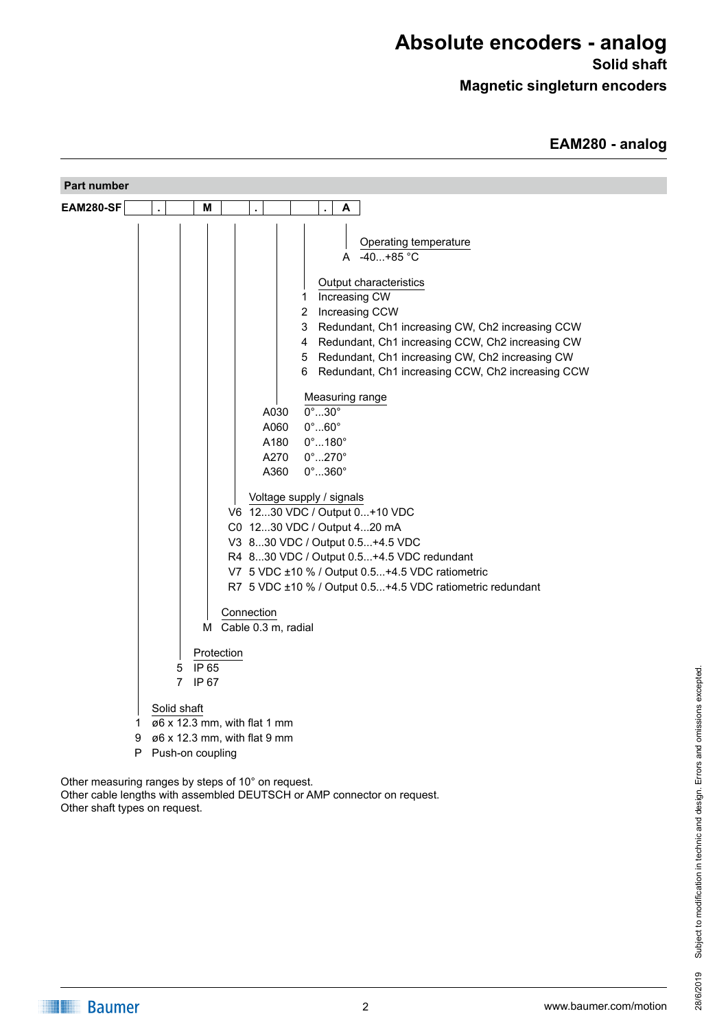## **Absolute encoders - analog**

**Solid shaft**

**Magnetic singleturn encoders**

| Part number                                                                                                                                                                                                                                                                                                                                                                                                                                      |
|--------------------------------------------------------------------------------------------------------------------------------------------------------------------------------------------------------------------------------------------------------------------------------------------------------------------------------------------------------------------------------------------------------------------------------------------------|
| <b>EAM280-SF</b><br>M<br>A<br>$\epsilon$<br>ä,<br>ä,                                                                                                                                                                                                                                                                                                                                                                                             |
| Operating temperature<br>A -40+85 °C<br>Output characteristics<br>Increasing CW<br>1<br>$\overline{2}$<br>Increasing CCW<br>Redundant, Ch1 increasing CW, Ch2 increasing CCW<br>3<br>Redundant, Ch1 increasing CCW, Ch2 increasing CW<br>4<br>Redundant, Ch1 increasing CW, Ch2 increasing CW<br>5<br>Redundant, Ch1 increasing CCW, Ch2 increasing CCW<br>6<br>Measuring range<br>$0^\circ$ 30 $^\circ$<br>A030<br>$0^\circ$ $60^\circ$<br>A060 |
| $0^\circ$ 180 $^\circ$<br>A180                                                                                                                                                                                                                                                                                                                                                                                                                   |
| A270<br>$0^\circ$ 270 $^\circ$<br>$0^\circ$ 360 $^\circ$<br>A360                                                                                                                                                                                                                                                                                                                                                                                 |
| Voltage supply / signals<br>V6 1230 VDC / Output 0+10 VDC<br>C0 1230 VDC / Output 420 mA<br>V3 830 VDC / Output 0.5+4.5 VDC<br>R4 830 VDC / Output 0.5+4.5 VDC redundant<br>V7 5 VDC ±10 % / Output 0.5+4.5 VDC ratiometric<br>R7 5 VDC ±10 % / Output 0.5+4.5 VDC ratiometric redundant<br>Connection                                                                                                                                           |
| M Cable 0.3 m, radial<br>Protection                                                                                                                                                                                                                                                                                                                                                                                                              |
| 5 IP 65<br>$\overline{7}$<br>IP 67                                                                                                                                                                                                                                                                                                                                                                                                               |
| Solid shaft<br>ø6 x 12.3 mm, with flat 1 mm<br>1.<br>ø6 x 12.3 mm, with flat 9 mm<br>9<br>P Push-on coupling                                                                                                                                                                                                                                                                                                                                     |
| Other measuring ranges by steps of 10° on request.                                                                                                                                                                                                                                                                                                                                                                                               |

Other cable lengths with assembled DEUTSCH or AMP connector on request. Other shaft types on request.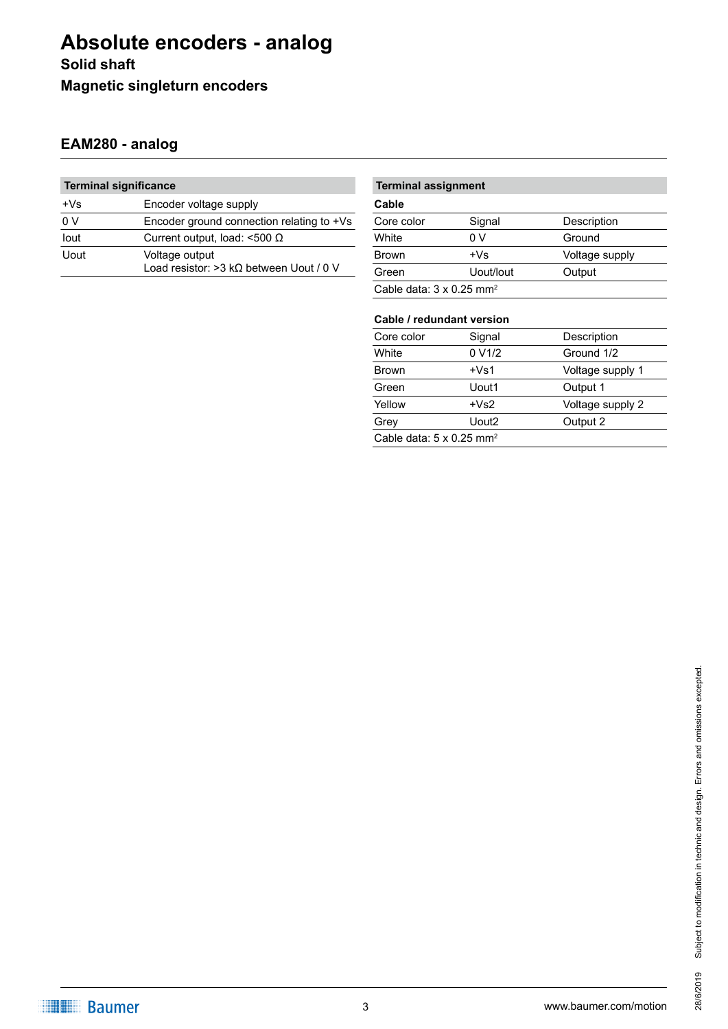## **Absolute encoders - analog Solid shaft Magnetic singleturn encoders**

### **EAM280 - analog**

| <b>Terminal significance</b> |                                                            |  |  |  |
|------------------------------|------------------------------------------------------------|--|--|--|
| $+Vs$                        | Encoder voltage supply                                     |  |  |  |
| 0 <sup>0</sup>               | Encoder ground connection relating to +Vs                  |  |  |  |
| lout                         | Current output, load: $\leq 500 \Omega$                    |  |  |  |
| Uout                         | Voltage output<br>Load resistor: > 3 kΩ between Uout / 0 V |  |  |  |

### **Terminal assignment**

| Cable                                       |           |                |  |
|---------------------------------------------|-----------|----------------|--|
| Core color                                  | Signal    | Description    |  |
| White                                       | 0 V       | Ground         |  |
| <b>Brown</b>                                | $+Vs$     | Voltage supply |  |
| Green                                       | Uout/lout | Output         |  |
| Cable data: $3 \times 0.25$ mm <sup>2</sup> |           |                |  |

### **Cable / redundant version**

| Core color                                  | Signal              | Description      |  |
|---------------------------------------------|---------------------|------------------|--|
| White                                       | 0 V <sub>1</sub> /2 | Ground 1/2       |  |
| <b>Brown</b>                                | $+Vs1$              | Voltage supply 1 |  |
| Green                                       | Uout1               | Output 1         |  |
| Yellow                                      | $+Vs2$              | Voltage supply 2 |  |
| Grey                                        | Uout2               | Output 2         |  |
| Cable data: $5 \times 0.25$ mm <sup>2</sup> |                     |                  |  |